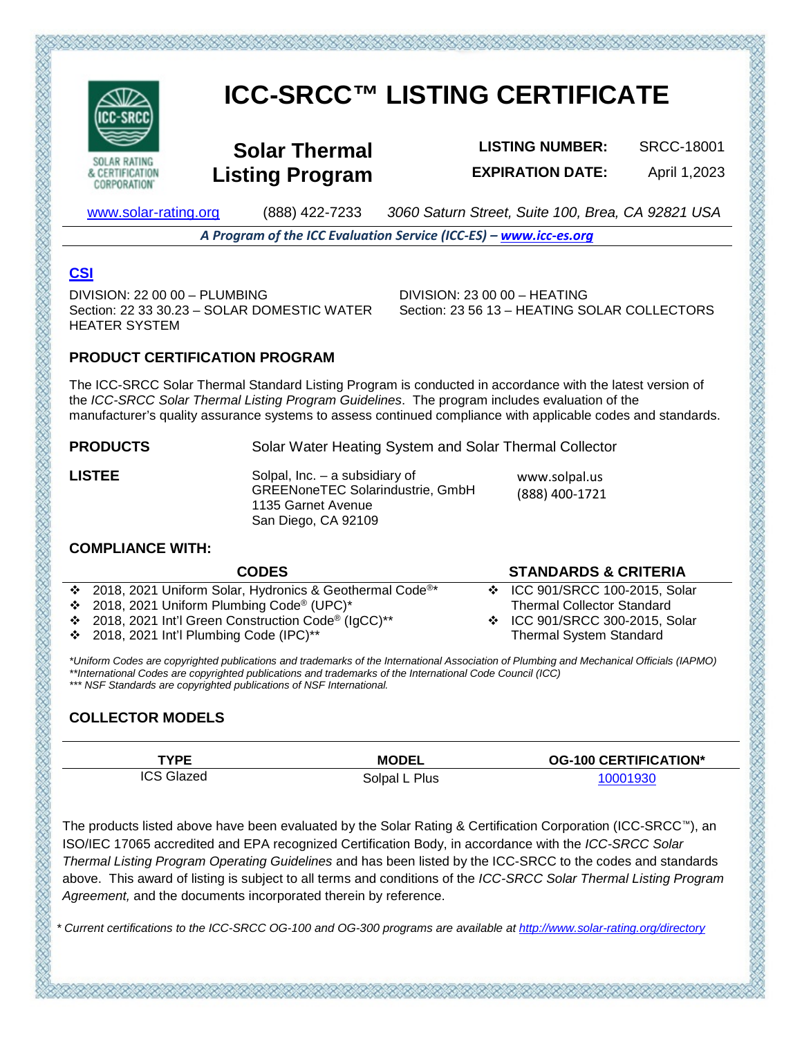

**CORPORATION** 

# **ICC-SRCC™ LISTING CERTIFICATE**

**Solar Thermal Listing Program**

**LISTING NUMBER:** SRCC-18001 **EXPIRATION DATE:** April 1,2023

[www.solar-rating.org](http://www.solar-rating.org/) (888) 422-7233 *3060 Saturn Street, Suite 100, Brea, CA 92821 USA*

*A Program of the ICC Evaluation Service (ICC-ES) – [www.icc-es.org](http://www.icc-es.org/)*

# **[CSI](https://www.arcat.com/)**

 $DIVISION: 22,00,00 - PI UMRING$ Section: 22 33 30.23 – SOLAR DOMESTIC WATER HEATER SYSTEM

DIVISION: 23 00 00 – HEATING Section: 23 56 13 – HEATING SOLAR COLLECTORS

# **PRODUCT CERTIFICATION PROGRAM**

The ICC-SRCC Solar Thermal Standard Listing Program is conducted in accordance with the latest version of the *ICC-SRCC Solar Thermal Listing Program Guidelines*. The program includes evaluation of the manufacturer's quality assurance systems to assess continued compliance with applicable codes and standards.

**PRODUCTS** Solar Water Heating System and Solar Thermal Collector

LISTEE Solpal, Inc. – a subsidiary of GREENoneTEC Solarindustrie, GmbH 1135 Garnet Avenue San Diego, CA 92109

www.solpal.us (888) 400-1721

#### **COMPLIANCE WITH:**

| <b>CODES</b>                                                          | <b>STANDARDS &amp; CRITERIA</b>   |
|-----------------------------------------------------------------------|-----------------------------------|
| ❖ 2018, 2021 Uniform Solar, Hydronics & Geothermal Code <sup>®*</sup> | ❖ ICC 901/SRCC 100-2015, Solar    |
| ❖ 2018, 2021 Uniform Plumbing Code <sup>®</sup> (UPC) <sup>*</sup>    | <b>Thermal Collector Standard</b> |
| ❖ 2018, 2021 Int'l Green Construction Code <sup>®</sup> (IgCC)**      | ❖ ICC 901/SRCC 300-2015, Solar    |
| $\div$ 2018, 2021 Int'l Plumbing Code (IPC)**                         | <b>Thermal System Standard</b>    |

*\*Uniform Codes are copyrighted publications and trademarks of the International Association of Plumbing and Mechanical Officials (IAPMO) \*\*International Codes are copyrighted publications and trademarks of the International Code Council (ICC) \*\*\* NSF Standards are copyrighted publications of NSF International.*

# **COLLECTOR MODELS**

| TYPE              | <b>MODEL</b>  | <b>OG-100 CERTIFICATION*</b> |
|-------------------|---------------|------------------------------|
| <b>ICS Glazed</b> | Solpal L Plus | 10001930                     |

The products listed above have been evaluated by the Solar Rating & Certification Corporation (ICC-SRCC™), an ISO/IEC 17065 accredited and EPA recognized Certification Body, in accordance with the *ICC-SRCC Solar Thermal Listing Program Operating Guidelines* and has been listed by the ICC-SRCC to the codes and standards above. This award of listing is subject to all terms and conditions of the *ICC-SRCC Solar Thermal Listing Program Agreement,* and the documents incorporated therein by reference.

*\* Current certifications to the ICC-SRCC OG-100 and OG-300 programs are available a[t http://www.solar-rating.org/directory](http://www.solar-rating.org/directory)*

とうかだいだいがたいたいかいだいだいだいだいがたいだいだいだいだいがく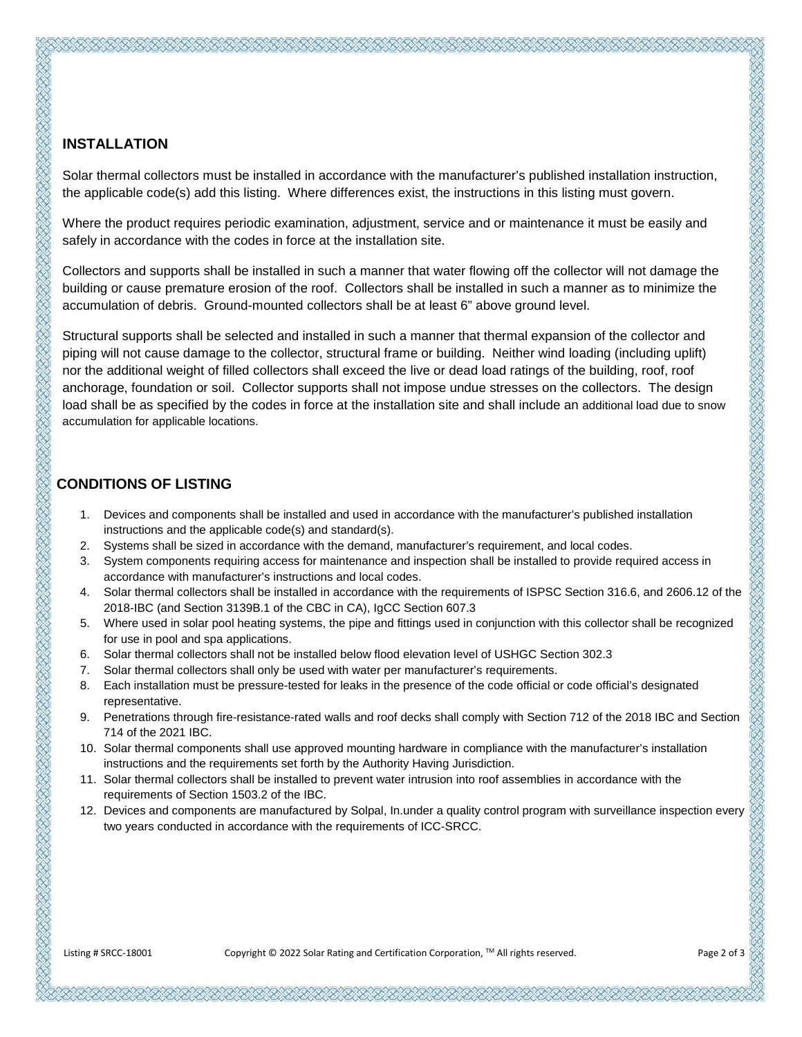## **INSTALLATION**

Solar thermal collectors must be installed in accordance with the manufacturer's published installation instruction, the applicable code(s) add this listing. Where differences exist, the instructions in this listing must govern.

Where the product requires periodic examination, adjustment, service and or maintenance it must be easily and safely in accordance with the codes in force at the installation site.

Collectors and supports shall be installed in such a manner that water flowing off the collector will not damage the building or cause premature erosion of the roof. Collectors shall be installed in such a manner as to minimize the accumulation of debris. Ground-mounted collectors shall be at least 6" above ground level.

Structural supports shall be selected and installed in such a manner that thermal expansion of the collector and piping will not cause damage to the collector, structural frame or building. Neither wind loading (including uplift) nor the additional weight of filled collectors shall exceed the live or dead load ratings of the building, roof, roof anchorage, foundation or soil. Collector supports shall not impose undue stresses on the collectors. The design load shall be as specified by the codes in force at the installation site and shall include an additional load due to snow accumulation for applicable locations.

## **CONDITIONS OF LISTING**

- 1. Devices and components shall be installed and used in accordance with the manufacturer's published installation instructions and the applicable code(s) and standard(s).
- 2. Systems shall be sized in accordance with the demand, manufacturer's requirement, and local codes.
- 3. System components requiring access for maintenance and inspection shall be installed to provide required access in accordance with manufacturer's instructions and local codes.
- 4. Solar thermal collectors shall be installed in accordance with the requirements of ISPSC Section 316.6, and 2606.12 of the 2018-IBC (and Section 3139B.1 of the CBC in CA), IgCC Section 607.3
- 5. Where used in solar pool heating systems, the pipe and fittings used in conjunction with this collector shall be recognized for use in pool and spa applications.
- 6. Solar thermal collectors shall not be installed below flood elevation level of USHGC Section 302.3
- 7. Solar thermal collectors shall only be used with water per manufacturer's requirements.
- 8. Each installation must be pressure-tested for leaks in the presence of the code official or code official's designated representative.
- 9. Penetrations through fire-resistance-rated walls and roof decks shall comply with Section 712 of the 2018 IBC and Section 714 of the 2021 IBC.
- 10. Solar thermal components shall use approved mounting hardware in compliance with the manufacturer's installation instructions and the requirements set forth by the Authority Having Jurisdiction.
- 11. Solar thermal collectors shall be installed to prevent water intrusion into roof assemblies in accordance with the requirements of Section 1503.2 of the IBC.
- 12. Devices and components are manufactured by Solpal, In.under a quality control program with surveillance inspection every two years conducted in accordance with the requirements of ICC-SRCC.